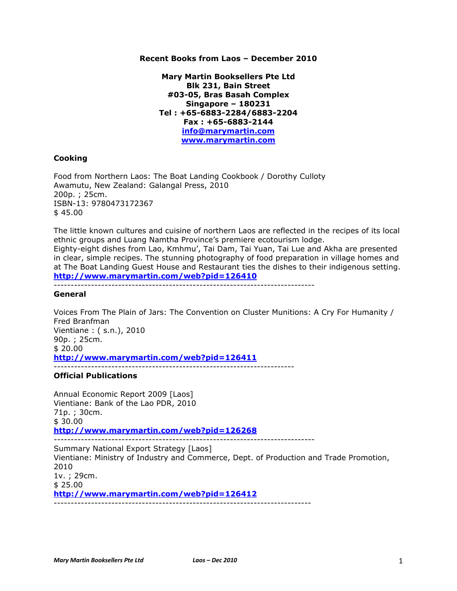## **Recent Books from Laos – December 2010**

**Mary Martin Booksellers Pte Ltd Blk 231, Bain Street #03-05, Bras Basah Complex Singapore – 180231 Tel : +65-6883-2284/6883-2204 Fax : +65-6883-2144 info@marymartin.com www.marymartin.com**

## **Cooking**

Food from Northern Laos: The Boat Landing Cookbook / Dorothy Culloty Awamutu, New Zealand: Galangal Press, 2010 200p. ; 25cm. ISBN-13: 9780473172367 \$ 45.00

The little known cultures and cuisine of northern Laos are reflected in the recipes of its local ethnic groups and Luang Namtha Province's premiere ecotourism lodge.

Eighty-eight dishes from Lao, Kmhmu', Tai Dam, Tai Yuan, Tai Lue and Akha are presented in clear, simple recipes. The stunning photography of food preparation in village homes and at The Boat Landing Guest House and Restaurant ties the dishes to their indigenous setting. **http://www.marymartin.com/web?pid=126410**

-----------------------------------------------------------------------------

## **General**

Voices From The Plain of Jars: The Convention on Cluster Munitions: A Cry For Humanity / Fred Branfman Vientiane : ( s.n.), 2010 90p. ; 25cm. \$ 20.00 **http://www.marymartin.com/web?pid=126411**

-----------------------------------------------------------------------

## **Official Publications**

Annual Economic Report 2009 [Laos] Vientiane: Bank of the Lao PDR, 2010 71p. ; 30cm. \$ 30.00 **http://www.marymartin.com/web?pid=126268** -----------------------------------------------------------------------------

Summary National Export Strategy [Laos] Vientiane: Ministry of Industry and Commerce, Dept. of Production and Trade Promotion, 2010 1v. ; 29cm. \$ 25.00 **http://www.marymartin.com/web?pid=126412** ----------------------------------------------------------------------------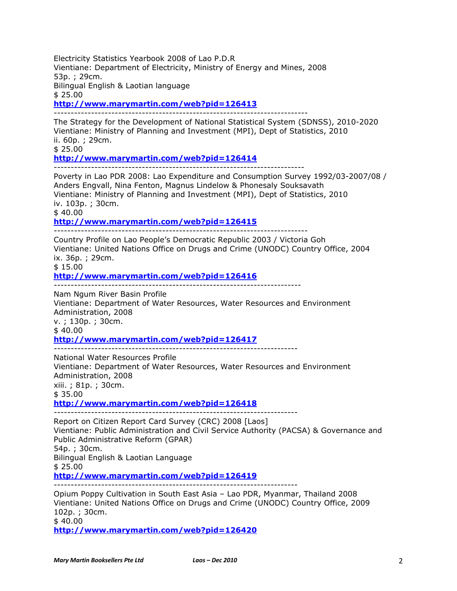Bilingual English & Laotian language \$ 25.00 **http://www.marymartin.com/web?pid=126413** --------------------------------------------------------------------------- The Strategy for the Development of National Statistical System (SDNSS), 2010-2020 Vientiane: Ministry of Planning and Investment (MPI), Dept of Statistics, 2010 ii. 60p. ; 29cm. \$ 25.00 **http://www.marymartin.com/web?pid=126414** -------------------------------------------------------------------------- Poverty in Lao PDR 2008: Lao Expenditure and Consumption Survey 1992/03-2007/08 / Anders Engvall, Nina Fenton, Magnus Lindelow & Phonesaly Souksavath Vientiane: Ministry of Planning and Investment (MPI), Dept of Statistics, 2010 iv. 103p. ; 30cm.  $$40.00$ **http://www.marymartin.com/web?pid=126415** --------------------------------------------------------------------------- Country Profile on Lao People's Democratic Republic 2003 / Victoria Goh Vientiane: United Nations Office on Drugs and Crime (UNODC) Country Office, 2004 ix. 36p. ; 29cm. \$ 15.00 **http://www.marymartin.com/web?pid=126416** ------------------------------------------------------------------------- Nam Ngum River Basin Profile Vientiane: Department of Water Resources, Water Resources and Environment Administration, 2008 v. ; 130p. ; 30cm. \$ 40.00 **http://www.marymartin.com/web?pid=126417** ------------------------------------------------------------------------ National Water Resources Profile Vientiane: Department of Water Resources, Water Resources and Environment Administration, 2008 xiii. ; 81p. ; 30cm. \$ 35.00 **http://www.marymartin.com/web?pid=126418** ------------------------------------------------------------------------ Report on Citizen Report Card Survey (CRC) 2008 [Laos] Vientiane: Public Administration and Civil Service Authority (PACSA) & Governance and Public Administrative Reform (GPAR) 54p. ; 30cm. Bilingual English & Laotian Language  $$25.00$ **http://www.marymartin.com/web?pid=126419** ------------------------------------------------------------------------ Opium Poppy Cultivation in South East Asia – Lao PDR, Myanmar, Thailand 2008 Vientiane: United Nations Office on Drugs and Crime (UNODC) Country Office, 2009 102p. ; 30cm. \$ 40.00 **http://www.marymartin.com/web?pid=126420**

Electricity Statistics Yearbook 2008 of Lao P.D.R

53p. ; 29cm.

Vientiane: Department of Electricity, Ministry of Energy and Mines, 2008